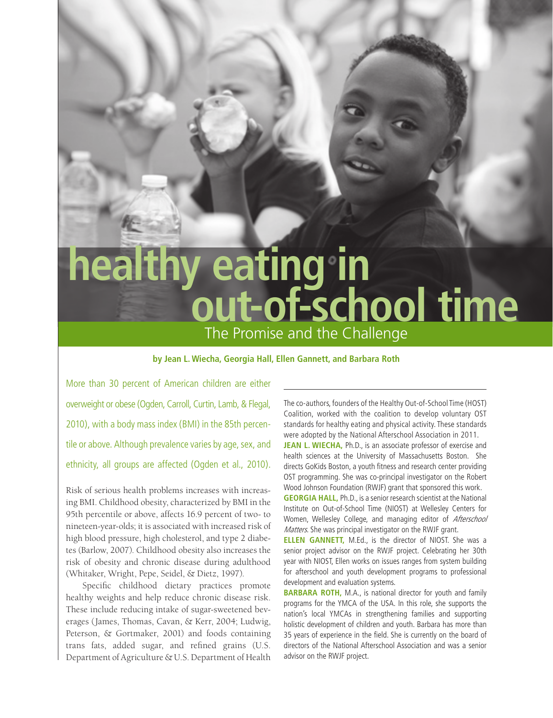# **healthy eating in out-of-school time** The Promise and the Challenge

# **by Jean L. Wiecha, Georgia Hall, Ellen Gannett, and Barbara Roth**

More than 30 percent of American children are either overweight or obese (Ogden, Carroll, Curtin, Lamb, & Flegal, 2010), with a body mass index (BMI) in the 85th percentile or above. Although prevalence varies by age, sex, and ethnicity, all groups are affected (Ogden et al., 2010).

Risk of serious health problems increases with increasing BMI. Childhood obesity, characterized by BMI in the 95th percentile or above, affects 16.9 percent of two- to nineteen-year-olds; it is associated with increased risk of high blood pressure, high cholesterol, and type 2 diabetes (Barlow, 2007). Childhood obesity also increases the risk of obesity and chronic disease during adulthood (Whitaker, Wright, Pepe, Seidel, & Dietz, 1997).

Specific childhood dietary practices promote healthy weights and help reduce chronic disease risk. These include reducing intake of sugar-sweetened beverages (James, Thomas, Cavan, & Kerr, 2004; Ludwig, Peterson, & Gortmaker, 2001) and foods containing trans fats, added sugar, and refined grains (U.S. Department of Agriculture & U.S. Department of Health The co-authors, founders of the Healthy Out-of-School Time (HOST) Coalition, worked with the coalition to develop voluntary OST standards for healthy eating and physical activity. These standards were adopted by the National Afterschool Association in 2011.

**JEAN L. WIECHA, Ph.D., is an associate professor of exercise and** health sciences at the University of Massachusetts Boston. She directs GoKids Boston, a youth fitness and research center providing OST programming. She was co-principal investigator on the Robert Wood Johnson Foundation (RWJF) grant that sponsored this work.

**GEORGIA HALL, Ph.D., is a senior research scientist at the National** Institute on Out-of-School Time (NIOST) at Wellesley Centers for Women, Wellesley College, and managing editor of Afterschool Matters. She was principal investigator on the RWJF grant.

**Ellen Gannett,** M.Ed., is the director of NIOST. She was a senior project advisor on the RWJF project. Celebrating her 30th year with NIOST, Ellen works on issues ranges from system building for afterschool and youth development programs to professional development and evaluation systems.

**BARBARA ROTH, M.A., is national director for youth and family** programs for the YMCA of the USA. In this role, she supports the nation's local YMCAs in strengthening families and supporting holistic development of children and youth. Barbara has more than 35 years of experience in the field. She is currently on the board of directors of the National Afterschool Association and was a senior advisor on the RWJF project.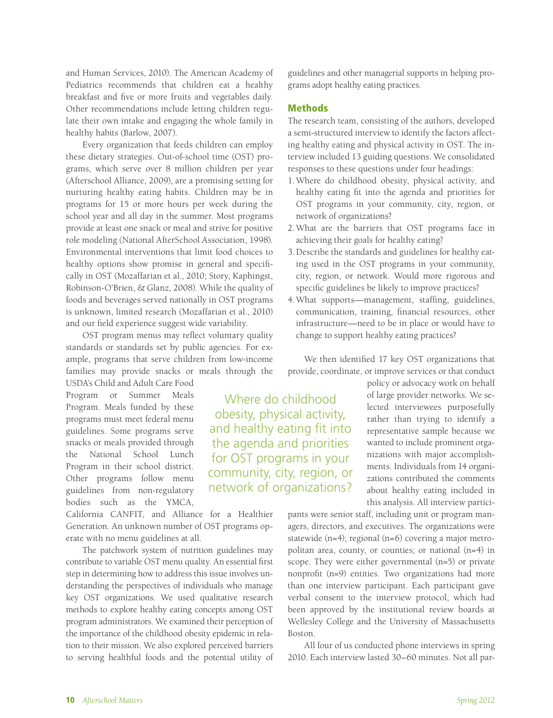and Human Services, 2010). The American Academy of Pediatrics recommends that children eat a healthy breakfast and five or more fruits and vegetables daily. Other recommendations include letting children regulate their own intake and engaging the whole family in healthy habits (Barlow, 2007).

Every organization that feeds children can employ these dietary strategies. Out-of-school time (OST) programs, which serve over 8 million children per year (Afterschool Alliance, 2009), are a promising setting for nurturing healthy eating habits. Children may be in programs for 15 or more hours per week during the school year and all day in the summer. Most programs provide at least one snack or meal and strive for positive role modeling (National AfterSchool Association, 1998). Environmental interventions that limit food choices to healthy options show promise in general and specifically in OST (Mozaffarian et al., 2010; Story, Kaphingst, Robinson-O'Brien, & Glanz, 2008). While the quality of foods and beverages served nationally in OST programs is unknown, limited research (Mozaffarian et al., 2010) and our field experience suggest wide variability.

OST program menus may reflect voluntary quality standards or standards set by public agencies. For example, programs that serve children from low-income families may provide snacks or meals through the

USDA's Child and Adult Care Food Program or Summer Meals Program. Meals funded by these programs must meet federal menu guidelines. Some programs serve snacks or meals provided through the National School Lunch Program in their school district. Other programs follow menu guidelines from non-regulatory bodies such as the YMCA,

California CANFIT, and Alliance for a Healthier Generation. An unknown number of OST programs operate with no menu guidelines at all.

The patchwork system of nutrition guidelines may contribute to variable OST menu quality. An essential first step in determining how to address this issue involves understanding the perspectives of individuals who manage key OST organizations. We used qualitative research methods to explore healthy eating concepts among OST program administrators. We examined their perception of the importance of the childhood obesity epidemic in relation to their mission. We also explored perceived barriers to serving healthful foods and the potential utility of guidelines and other managerial supports in helping programs adopt healthy eating practices.

# Methods

The research team, consisting of the authors, developed a semi-structured interview to identify the factors affecting healthy eating and physical activity in OST. The interview included 13 guiding questions. We consolidated responses to these questions under four headings:

- 1.Where do childhood obesity, physical activity, and healthy eating fit into the agenda and priorities for OST programs in your community, city, region, or network of organizations?
- 2.What are the barriers that OST programs face in achieving their goals for healthy eating?
- 3.Describe the standards and guidelines for healthy eating used in the OST programs in your community, city, region, or network. Would more rigorous and specific guidelines be likely to improve practices?
- 4.What supports—management, staffing, guidelines, communication, training, financial resources, other infrastructure—need to be in place or would have to change to support healthy eating practices?

We then identified 17 key OST organizations that provide, coordinate, or improve services or that conduct

Where do childhood obesity, physical activity, and healthy eating fit into the agenda and priorities for OST programs in your community, city, region, or network of organizations?

policy or advocacy work on behalf of large provider networks. We selected interviewees purposefully rather than trying to identify a representative sample because we wanted to include prominent organizations with major accomplishments. Individuals from 14 organizations contributed the comments about healthy eating included in this analysis. All interview partici-

pants were senior staff, including unit or program managers, directors, and executives. The organizations were statewide (n=4); regional (n=6) covering a major metropolitan area, county, or counties; or national (n=4) in scope. They were either governmental (n=5) or private nonprofit (n=9) entities. Two organizations had more than one interview participant. Each participant gave verbal consent to the interview protocol, which had been approved by the institutional review boards at Wellesley College and the University of Massachusetts Boston.

All four of us conducted phone interviews in spring 2010. Each interview lasted 30–60 minutes. Not all par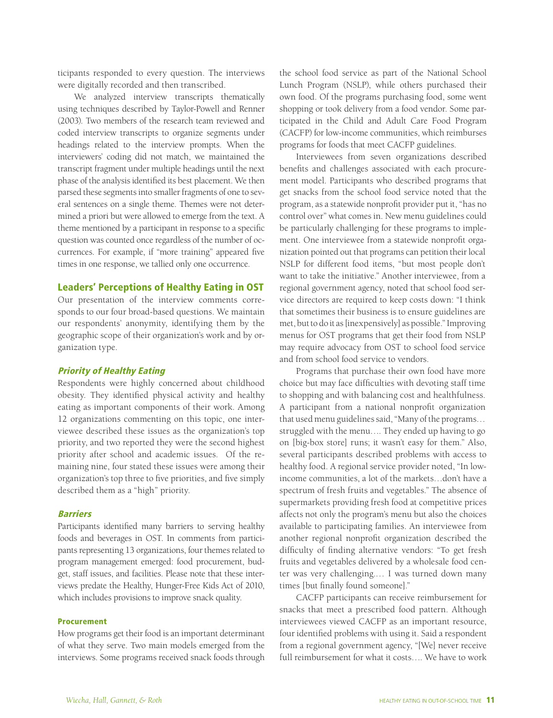ticipants responded to every question. The interviews were digitally recorded and then transcribed.

We analyzed interview transcripts thematically using techniques described by Taylor-Powell and Renner (2003). Two members of the research team reviewed and coded interview transcripts to organize segments under headings related to the interview prompts. When the interviewers' coding did not match, we maintained the transcript fragment under multiple headings until the next phase of the analysis identified its best placement. We then parsed these segments into smaller fragments of one to several sentences on a single theme. Themes were not determined a priori but were allowed to emerge from the text. A theme mentioned by a participant in response to a specific question was counted once regardless of the number of occurrences. For example, if "more training" appeared five times in one response, we tallied only one occurrence.

## Leaders' Perceptions of Healthy Eating in OST

Our presentation of the interview comments corresponds to our four broad-based questions. We maintain our respondents' anonymity, identifying them by the geographic scope of their organization's work and by organization type.

### Priority of Healthy Eating

Respondents were highly concerned about childhood obesity. They identified physical activity and healthy eating as important components of their work. Among 12 organizations commenting on this topic, one interviewee described these issues as the organization's top priority, and two reported they were the second highest priority after school and academic issues. Of the remaining nine, four stated these issues were among their organization's top three to five priorities, and five simply described them as a "high" priority.

#### Barriers

Participants identified many barriers to serving healthy foods and beverages in OST. In comments from participants representing 13 organizations, four themes related to program management emerged: food procurement, budget, staff issues, and facilities. Please note that these interviews predate the Healthy, Hunger-Free Kids Act of 2010, which includes provisions to improve snack quality.

### Procurement

How programs get their food is an important determinant of what they serve. Two main models emerged from the interviews. Some programs received snack foods through the school food service as part of the National School Lunch Program (NSLP), while others purchased their own food. Of the programs purchasing food, some went shopping or took delivery from a food vendor. Some participated in the Child and Adult Care Food Program (CACFP) for low-income communities, which reimburses programs for foods that meet CACFP guidelines.

Interviewees from seven organizations described benefits and challenges associated with each procurement model. Participants who described programs that get snacks from the school food service noted that the program, as a statewide nonprofit provider put it, "has no control over" what comes in. New menu guidelines could be particularly challenging for these programs to implement. One interviewee from a statewide nonprofit organization pointed out that programs can petition their local NSLP for different food items, "but most people don't want to take the initiative." Another interviewee, from a regional government agency, noted that school food service directors are required to keep costs down: "I think that sometimes their business is to ensure guidelines are met, but to do it as [inexpensively] as possible." Improving menus for OST programs that get their food from NSLP may require advocacy from OST to school food service and from school food service to vendors.

Programs that purchase their own food have more choice but may face difficulties with devoting staff time to shopping and with balancing cost and healthfulness. A participant from a national nonprofit organization that used menu guidelines said, "Many of the programs… struggled with the menu…. They ended up having to go on [big-box store] runs; it wasn't easy for them." Also, several participants described problems with access to healthy food. A regional service provider noted, "In lowincome communities, a lot of the markets…don't have a spectrum of fresh fruits and vegetables." The absence of supermarkets providing fresh food at competitive prices affects not only the program's menu but also the choices available to participating families. An interviewee from another regional nonprofit organization described the difficulty of finding alternative vendors: "To get fresh fruits and vegetables delivered by a wholesale food center was very challenging.… I was turned down many times [but finally found someone]."

CACFP participants can receive reimbursement for snacks that meet a prescribed food pattern. Although interviewees viewed CACFP as an important resource, four identified problems with using it. Said a respondent from a regional government agency, "[We] never receive full reimbursement for what it costs…. We have to work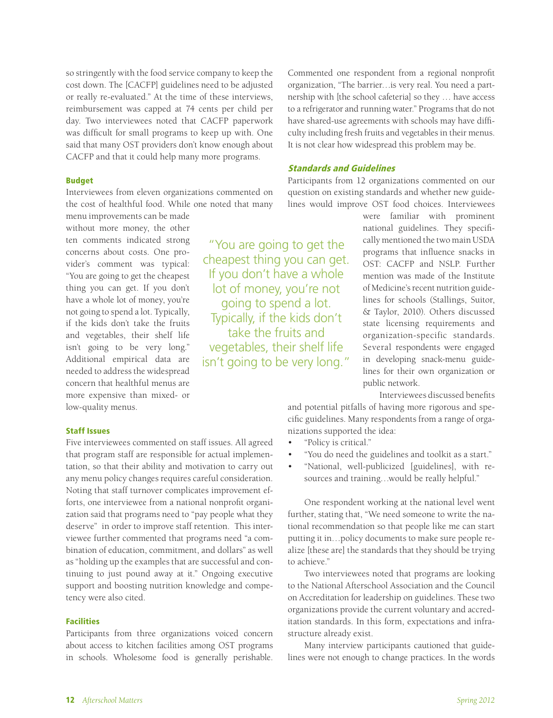so stringently with the food service company to keep the cost down. The [CACFP] guidelines need to be adjusted or really re-evaluated." At the time of these interviews, reimbursement was capped at 74 cents per child per day. Two interviewees noted that CACFP paperwork was difficult for small programs to keep up with. One said that many OST providers don't know enough about CACFP and that it could help many more programs.

#### Budget

Interviewees from eleven organizations commented on the cost of healthful food. While one noted that many

menu improvements can be made without more money, the other ten comments indicated strong concerns about costs. One provider's comment was typical: "You are going to get the cheapest thing you can get. If you don't have a whole lot of money, you're not going to spend a lot. Typically, if the kids don't take the fruits and vegetables, their shelf life isn't going to be very long." Additional empirical data are needed to address the widespread concern that healthful menus are more expensive than mixed- or low-quality menus.

#### Staff Issues

Five interviewees commented on staff issues. All agreed that program staff are responsible for actual implementation, so that their ability and motivation to carry out any menu policy changes requires careful consideration. Noting that staff turnover complicates improvement efforts, one interviewee from a national nonprofit organization said that programs need to "pay people what they deserve" in order to improve staff retention. This interviewee further commented that programs need "a combination of education, commitment, and dollars" as well as "holding up the examples that are successful and continuing to just pound away at it." Ongoing executive support and boosting nutrition knowledge and competency were also cited.

## **Facilities**

Participants from three organizations voiced concern about access to kitchen facilities among OST programs in schools. Wholesome food is generally perishable.

Commented one respondent from a regional nonprofit organization, "The barrier…is very real. You need a partnership with [the school cafeteria] so they … have access to a refrigerator and running water." Programs that do not have shared-use agreements with schools may have difficulty including fresh fruits and vegetables in their menus. It is not clear how widespread this problem may be.

## Standards and Guidelines

Participants from 12 organizations commented on our question on existing standards and whether new guidelines would improve OST food choices. Interviewees

> were familiar with prominent national guidelines. They specifically mentioned the two main USDA programs that influence snacks in OST: CACFP and NSLP. Further mention was made of the Institute of Medicine's recent nutrition guidelines for schools (Stallings, Suitor, & Taylor, 2010). Others discussed state licensing requirements and organization-specific standards. Several respondents were engaged in developing snack-menu guidelines for their own organization or public network.

> > Interviewees discussed benefits

and potential pitfalls of having more rigorous and specific guidelines. Many respondents from a range of organizations supported the idea:

- • "Policy is critical."
- "You do need the guidelines and toolkit as a start."
- "National, well-publicized [guidelines], with resources and training…would be really helpful."

One respondent working at the national level went further, stating that, "We need someone to write the national recommendation so that people like me can start putting it in…policy documents to make sure people realize [these are] the standards that they should be trying to achieve."

Two interviewees noted that programs are looking to the National Afterschool Association and the Council on Accreditation for leadership on guidelines. These two organizations provide the current voluntary and accreditation standards. In this form, expectations and infrastructure already exist.

Many interview participants cautioned that guidelines were not enough to change practices. In the words

"You are going to get the cheapest thing you can get. If you don't have a whole lot of money, you're not going to spend a lot. Typically, if the kids don't take the fruits and vegetables, their shelf life isn't going to be very long."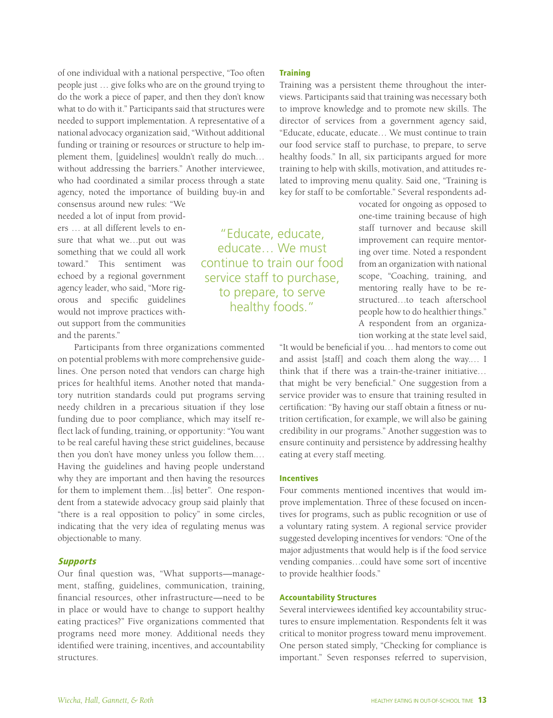of one individual with a national perspective, "Too often people just … give folks who are on the ground trying to do the work a piece of paper, and then they don't know what to do with it." Participants said that structures were needed to support implementation. A representative of a national advocacy organization said, "Without additional funding or training or resources or structure to help implement them, [guidelines] wouldn't really do much… without addressing the barriers." Another interviewee, who had coordinated a similar process through a state agency, noted the importance of building buy-in and

consensus around new rules: "We needed a lot of input from providers … at all different levels to ensure that what we…put out was something that we could all work toward." This sentiment was echoed by a regional government agency leader, who said, "More rigorous and specific guidelines would not improve practices without support from the communities and the parents."

Participants from three organizations commented on potential problems with more comprehensive guidelines. One person noted that vendors can charge high prices for healthful items. Another noted that mandatory nutrition standards could put programs serving needy children in a precarious situation if they lose funding due to poor compliance, which may itself reflect lack of funding, training, or opportunity: "You want to be real careful having these strict guidelines, because then you don't have money unless you follow them.… Having the guidelines and having people understand why they are important and then having the resources for them to implement them…[is] better". One respondent from a statewide advocacy group said plainly that "there is a real opposition to policy" in some circles, indicating that the very idea of regulating menus was objectionable to many.

## **Supports**

Our final question was, "What supports—management, staffing, guidelines, communication, training, financial resources, other infrastructure—need to be in place or would have to change to support healthy eating practices?" Five organizations commented that programs need more money. Additional needs they identified were training, incentives, and accountability structures.

## **Training**

Training was a persistent theme throughout the interviews. Participants said that training was necessary both to improve knowledge and to promote new skills. The director of services from a government agency said, "Educate, educate, educate… We must continue to train our food service staff to purchase, to prepare, to serve healthy foods." In all, six participants argued for more training to help with skills, motivation, and attitudes related to improving menu quality. Said one, "Training is key for staff to be comfortable." Several respondents ad-

"Educate, educate, educate… We must continue to train our food service staff to purchase, to prepare, to serve healthy foods."

vocated for ongoing as opposed to one-time training because of high staff turnover and because skill improvement can require mentoring over time. Noted a respondent from an organization with national scope, "Coaching, training, and mentoring really have to be restructured…to teach afterschool people how to do healthier things." A respondent from an organization working at the state level said,

"It would be beneficial if you… had mentors to come out and assist [staff] and coach them along the way.… I think that if there was a train-the-trainer initiative… that might be very beneficial." One suggestion from a service provider was to ensure that training resulted in certification: "By having our staff obtain a fitness or nutrition certification, for example, we will also be gaining credibility in our programs." Another suggestion was to ensure continuity and persistence by addressing healthy eating at every staff meeting.

# Incentives

Four comments mentioned incentives that would improve implementation. Three of these focused on incentives for programs, such as public recognition or use of a voluntary rating system. A regional service provider suggested developing incentives for vendors: "One of the major adjustments that would help is if the food service vending companies…could have some sort of incentive to provide healthier foods."

#### Accountability Structures

Several interviewees identified key accountability structures to ensure implementation. Respondents felt it was critical to monitor progress toward menu improvement. One person stated simply, "Checking for compliance is important." Seven responses referred to supervision,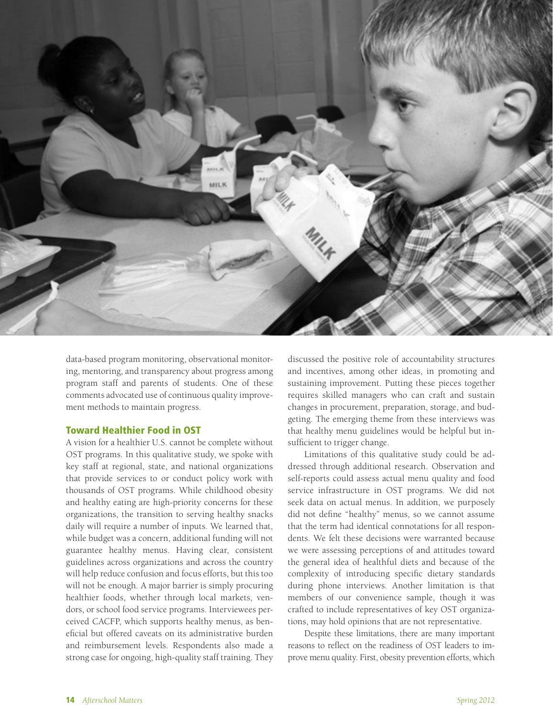

data-based program monitoring, observational monitoring, mentoring, and transparency about progress among program staff and parents of students. One of these comments advocated use of continuous quality improvement methods to maintain progress.

# Toward Healthier Food in OST

A vision for a healthier U.S. cannot be complete without OST programs. In this qualitative study, we spoke with key staff at regional, state, and national organizations that provide services to or conduct policy work with thousands of OST programs. While childhood obesity and healthy eating are high-priority concerns for these organizations, the transition to serving healthy snacks daily will require a number of inputs. We learned that, while budget was a concern, additional funding will not guarantee healthy menus. Having clear, consistent guidelines across organizations and across the country will help reduce confusion and focus efforts, but this too will not be enough. A major barrier is simply procuring healthier foods, whether through local markets, vendors, or school food service programs. Interviewees perceived CACFP, which supports healthy menus, as beneficial but offered caveats on its administrative burden and reimbursement levels. Respondents also made a strong case for ongoing, high-quality staff training. They discussed the positive role of accountability structures and incentives, among other ideas, in promoting and sustaining improvement. Putting these pieces together requires skilled managers who can craft and sustain changes in procurement, preparation, storage, and budgeting. The emerging theme from these interviews was that healthy menu guidelines would be helpful but insufficient to trigger change.

Limitations of this qualitative study could be addressed through additional research. Observation and self-reports could assess actual menu quality and food service infrastructure in OST programs. We did not seek data on actual menus. In addition, we purposely did not define "healthy" menus, so we cannot assume that the term had identical connotations for all respondents. We felt these decisions were warranted because we were assessing perceptions of and attitudes toward the general idea of healthful diets and because of the complexity of introducing specific dietary standards during phone interviews. Another limitation is that members of our convenience sample, though it was crafted to include representatives of key OST organizations, may hold opinions that are not representative.

Despite these limitations, there are many important reasons to reflect on the readiness of OST leaders to improve menu quality. First, obesity prevention efforts, which